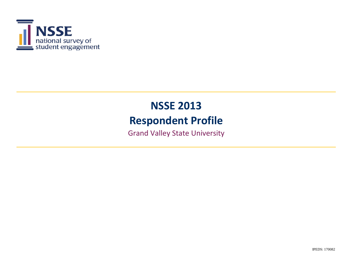

# **NSSE 2013 Respondent Profile**

Grand Valley State University

IPEDS: 170082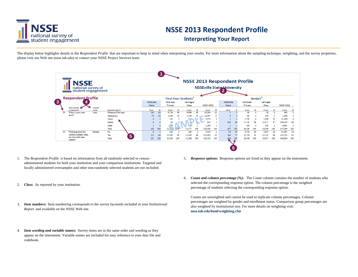

## **NSSE 2013 Respondent Profile**

#### **Interpreting Your Report**

The display below highlights details in the Respondent Profile that are important to keep in mind when interpreting your results. For more information about the sampling technique, weighting, and the survey properties, please visit our Web site (nsse.iub.edu) or contact your NSSE Project Services team.



- 1. 5. The *Respondent Profile* is based on information from all randomly selected or censusadministered students for both your institution and your comparison institutions. Targeted and locally administered oversamples and other non-randomly selected students are not included.
- 2. *Class:* As reported by your institution.
- 3. *Item numbers:* Item numbering corresponds to the survey facsimile included in your *Institutional Report* and available on the NSSE Web site.
- 4. *Item wording and variable names:* Survey items are in the same order and wording as they appear on the instrument. Variable names are included for easy reference to your data file and codebook.
- *Response options:* Response options are listed as they appear on the instrument.
- 6. *Count and column percentage (%):* The Count column contains the number of students who selected the corresponding response option. The column percentage is the weighted percentage of students selecting the corresponding response option.

Counts are unweighted and cannot be used to replicate column percentages. Column percentages are weighted by gender and enrollment status. Comparison group percentages are also weighted by institutional size. For more details on weighting visit: **nsse.iub.edu/html/weighting.cfm**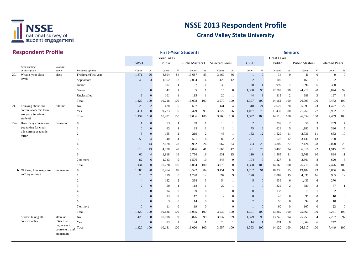

|         | <b>Respondent Profile</b>       |                              |                     |                |                |                    |                | <b>First-Year Students</b> |                |                       |                |                |                 |                    | <b>Seniors</b>  |                  |              |                       |                |
|---------|---------------------------------|------------------------------|---------------------|----------------|----------------|--------------------|----------------|----------------------------|----------------|-----------------------|----------------|----------------|-----------------|--------------------|-----------------|------------------|--------------|-----------------------|----------------|
|         |                                 |                              |                     |                |                | <b>Great Lakes</b> |                |                            |                |                       |                |                |                 | <b>Great Lakes</b> |                 |                  |              |                       |                |
|         |                                 |                              |                     | GVSU           |                | Public             |                | Public Masters L           |                | <b>Selected Peers</b> |                | GVSU           |                 | Public             |                 | Public Masters L |              | <b>Selected Peers</b> |                |
|         | Item wording<br>or description  | Variable<br>name             | Response options    | Count          | $\%$           | Count              | $\%$           | Count                      | $\%$           | Count                 | $\%$           | Count          | $\%$            | Count              | $\%$            | Count            | $\%$         | Count                 | $\%$           |
| 20.     | What is your class              | class                        | Freshman/First-year | 1,371          | 96             | 8,804              | 84             | 13,687                     | 83             | 3,469                 | 86             |                | $\mathbf{0}$    | 34                 | $\mathbf{0}$    | 46               | $\mathbf{0}$ | 9                     | $\theta$       |
|         | level?                          |                              | Sophomore           | 40             | 3              | 1,162              | 13             | 2,004                      | 14             | 428                   | 12             | $\overline{c}$ | $\Omega$        | 107                | $\mathbf{1}$    | 161              | -1           | 32                    | $\Omega$       |
|         |                                 |                              | Junior              | 9              |                | 107                | -1             | 187                        | -1             | 38                    | -1             | 20             |                 | 999                | $7\phantom{.0}$ | 1,596            | 6            | 360                   | 5              |
|         |                                 |                              | Senior              | 3              | $\Omega$       | 42                 | -1             | 85                         |                | 15                    | $\mathbf{0}$   | 1,330          | 95              | 12,707             | 90              | 24,218           | 90           | 6,874                 | 92             |
|         |                                 |                              | Unclassified        | 6              | $\overline{0}$ | 101                | -1             | 115                        | -1             | 20                    | -1             | 44             | 3               | 315                | 2               | 688              | 3            | 197                   | 3              |
|         |                                 |                              | Total               | 1,429          | 100            | 10,216             | 100            | 16,078                     | 100            | 3,970                 | 100            | 1,397          | 100             | 14,162             | 100             | 26,709           | 100          | 7,472                 | 100            |
| 21.     | Thinking about this             | fulltime                     | No                  | 23             | 2              | 428                | 5              | 607                        | 5              | 141                   | $\overline{4}$ | 310            | 24              | 2,679              | 20              | 5,393            | 23           | 1,477                 | 22             |
|         | current academic term,          |                              | Yes                 | 1,411          | 98             | 9,773              | 95             | 15,429                     | 95             | 3,822                 | 96             | 1,087          | 76              | 11,437             | 80              | 21,261           | 77           | 5,982                 | 78             |
|         | are you a full-time<br>student? |                              | Total               | 1,434          | 100            | 10,201             | 100            | 16,036                     | 100            | 3,963                 | 100            | 1,397          | 100             | 14,116             | 100             | 26,654           | 100          | 7,459                 | 100            |
| $22a$ . | How many courses are            | coursenum                    | $\overline{0}$      |                | $\overline{0}$ | 53                 | $\mathbf{1}$   | 69                         | $\overline{1}$ | 18                    | $\mathbf{1}$   | $\overline{2}$ | $\overline{0}$  | 292                | 2               | 856              | 3            | 259                   | $\overline{4}$ |
|         | you taking for credit           |                              | $\mathbf{1}$        | $\mathbf{0}$   | $\overline{0}$ | 63                 | -1             | 85                         |                | 18                    | $\mathbf{1}$   | 75             | 6               | 628                | 5               | 1,180            | 5            | 396                   | 5              |
|         | this current academic           |                              | $\overline{c}$      | 5              | $\Omega$       | 155                | $\overline{2}$ | 219                        | 2              | 46                    | -1             | 152            | 12              | 1,529              | 11              | 2,736            | 11           | 662                   | 10             |
|         | term?                           |                              | 3                   | 55             | $\overline{4}$ | 340                | $\overline{4}$ | 521                        | $\overline{4}$ | 80                    | 2              | 201            | 15              | 1,628              | 12              | 3,130            | 13           | 720                   | 10             |
|         |                                 |                              |                     | 613            | 43             | 2,678              | 28             | 3,962                      | 26             | 967                   | 24             | 393            | 28              | 3,809              | 27              | 7,424            | 28           | 2,070                 | 28             |
|         |                                 |                              | 5                   | 618            | 43             | 4,078              | 40             | 6,896                      | 41             | 1,865                 | 47             | 361            | 25              | 3,490              | 24              | 6,316            | 22           | 1,915                 | 25             |
|         |                                 |                              | 6                   | 60             | $\overline{4}$ | 1,818              | 16             | 2,756                      | 16             | 631                   | 15             | 110            | $\,8\,$         | 1,565              | 11              | 2,768            | $10\,$       | 834                   | 11             |
|         |                                 |                              | 7 or more           | 82             | 6              | 1,043              | 9              | 1,576                      | 10             | 348                   | 9              | 104            | $7\phantom{.0}$ | 1,227              | 8               | 2,301            | 8            | 620                   | 8              |
|         |                                 |                              | Total               | 1,434          | 100            | 10,228             | 100            | 16,084                     | 100            | 3,973                 | 100            | 1,398          | 100             | 14,168             | 100             | 26,711           | 100          | 7,476                 | 100            |
|         | b. Of these, how many are       | onlinenum                    | $\overline{0}$      | 1,386          | 98             | 8,964              | 89             | 13,522                     | 84             | 3,451                 | 89             | 1,262          | 91              | 10,238             | 75              | 19,102           | 73           | 5,856                 | 82             |
|         | entirely online?                |                              | $\mathbf{1}$        | 28             | 2              | 879                | 8              | 1,798                      | 12             | 397                   | 9              | 120            | 8               | 2,087              | 15              | 4,035            | 16           | 935                   | 12             |
|         |                                 |                              | $\overline{c}$      | $\overline{4}$ | $\Omega$       | 182                | 2              | 398                        | 3              | 54                    | -1             | 5              | $\mathbf{0}$    | 936                | 6               | 1,433            | 6            | 270                   | $\overline{4}$ |
|         |                                 |                              | 3                   | $\overline{2}$ | $\Omega$       | 50                 | -1             | 118                        |                | 22                    | 1              |                | $\Omega$        | 322                | 2               | 680              | 3            | 87                    |                |
|         |                                 |                              |                     | $\overline{0}$ | $\Omega$       | 34                 | $\overline{0}$ | 69                         | $\overline{0}$ | $\mathbf Q$           | $\overline{0}$ | $\mathbf{0}$   | $\Omega$        | 133                | $\mathbf{1}$    | 319              | 1            | 32                    | $\Omega$       |
|         |                                 |                              | 5                   | $\overline{0}$ | $\Omega$       | 13                 | $\overline{0}$ | 17                         | $\overline{0}$ | $\overline{2}$        | $\overline{0}$ | $\overline{0}$ | $\Omega$        | 43                 | $\mathbf{0}$    | 91               | $\Omega$     | 10                    | $\mathbf{0}$   |
|         |                                 |                              | 6                   | $\mathbf{0}$   | $\Omega$       | 3                  | $\overline{0}$ | 14                         | $\overline{0}$ | $\mathbf{0}$          | $\mathbf{0}$   | 2              | $\overline{0}$  | 50                 | $\overline{0}$  | 94               | $\mathbf{0}$ | 18                    | $\overline{0}$ |
|         |                                 |                              | 7 or more           | $\overline{0}$ | $\Omega$       | 11                 | $\mathbf{0}$   | 19                         | $\overline{0}$ | $\overline{4}$        | $\overline{0}$ |                | $\Omega$        | 60                 | $\overline{0}$  | 107              | $\mathbf{0}$ | 23                    | $\overline{0}$ |
|         |                                 |                              | Total               | 1,420          | 100            | 10,136             | 100            | 15,955                     | 100            | 3,939                 | 100            | 1,391          | 100             | 13,869             | 100             | 25,861           | 100          | 7,231                 | 100            |
|         | Student taking all              | allonline                    | No                  | 1,420          | 100            | 10,098             | 99             | 15,876                     | 99             | 3,937                 | 99             | 1,379          | 99              | 13,246             | 94              | 25,253           | 94           | 7,207                 | 97             |
|         | courses online                  | (Based on                    | Yes                 | $\mathbf{0}$   | $\Omega$       | 83                 | -1             | 144                        | -1             | 20                    | -1             | 14             | $\mathbf{1}$    | 874                | 6               | 1,364            | 6            | 242                   | 3              |
|         |                                 | responses to                 | Total               | 1,420          | 100            | 10,181             | 100            | 16,020                     | 100            | 3,957                 | 100            | 1,393          | 100             | 14,120             | 100             | 26,617           | 100          | 7,449                 | 100            |
|         |                                 | coursenum and<br>onlinenum.) |                     |                |                |                    |                |                            |                |                       |                |                |                 |                    |                 |                  |              |                       |                |
|         |                                 |                              |                     |                |                |                    |                |                            |                |                       |                |                |                 |                    |                 |                  |              |                       |                |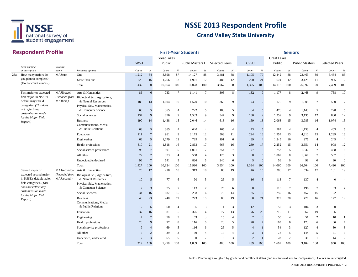

| <b>Great Lakes</b><br><b>Great Lakes</b><br>GVSU<br>Public<br><b>Selected Peers</b><br>GVSU<br>Public<br><b>Selected Peers</b><br>Public Masters L<br>Public Masters L<br>Variable<br>Item wording<br>$\%$<br>or description<br>%<br>$\%$<br>%<br>$\%$<br>%<br>$\%$<br>name<br>Response options<br>Count<br>Count<br>Count<br>Count<br>Count<br>Count<br>Count<br>Count<br>87<br>79<br>84<br>14,127<br>88<br>88<br>12,442<br>88<br>89<br>6,484<br>23a.<br>MAJnum<br>One<br>1,212<br>8,898<br>3,481<br>1,105<br>23,463<br>How many majors do<br>you plan to complete?<br>220<br>16<br>1,266<br>13<br>1,901<br>12<br>486<br>12<br>290<br>21<br>1,674<br>12<br>3,129<br>11<br>955<br>More than one<br>(Do not count minors.)<br>1,432<br>100<br>100<br>16,028<br>100<br>100<br>1,395<br>100<br>100<br>100<br>Total<br>10,164<br>3,967<br>14,116<br>26,592<br>7,439<br>$7\phantom{.0}$<br>8<br>132<br>9<br>8<br>9<br>MAJfirstcol<br>Arts & Humanities<br>86<br>733<br>1,141<br>$7\phantom{.0}$<br>305<br>1,177<br>758<br>First major or expected<br>6<br>2,468<br>first major, in NSSE's<br>(Recoded from<br>Biological Sci., Agriculture,<br>default major field<br>MAJfirst.)<br>& Natural Resources<br>185<br>1,004<br>10<br>1,570<br>10<br>360<br>9<br>174<br>12<br>1,170<br>9<br>1,905<br>$\tau$<br>530<br>13<br>categories. (This does<br>Physical Sci., Mathematics,<br>not reflect any<br>& Computer Science<br>5<br>365<br>$\overline{4}$<br>722<br>183<br>5<br>5<br>$\overline{4}$<br>1,143<br>5<br>298<br>60<br>5<br>64<br>476<br>customization made<br>137<br>$\overline{Q}$<br>9<br>9<br>130<br>9<br>1.259<br>9<br>12<br><b>Social Sciences</b><br>856<br>1,589<br>9<br>347<br>3,135<br>12<br>880<br>for the Major Field<br><b>Business</b><br>190<br>14<br>1,438<br>15<br>2,046<br>14<br>169<br>13<br>2,068<br>15<br>3,985<br>16<br>1,074<br>15<br>613<br>16<br>Report.)<br>Communications, Media,<br>& Public Relations<br>$\overline{5}$<br>365<br>73<br>5<br>584<br>1,133<br>403<br>68<br>$\overline{4}$<br>640<br>165<br>$\overline{4}$<br>$\overline{4}$<br>$\overline{4}$<br>$\overline{4}$<br>$\overline{7}$<br>9<br>12<br>11<br>224<br>1,954<br>13<br>4,312<br>15<br>1,289<br>Education<br>111<br>961<br>2,175<br>508<br>16<br>$5\overline{)}$<br>1,079<br>12<br>789<br>39<br>10<br>975<br>Engineering<br>66<br>191<br>6<br>$\overline{4}$<br>1,245<br>$\overline{4}$<br>245<br>6<br>21<br>239<br>2,252<br>15<br>908<br>12<br>Health professions<br>310<br>1,818<br>16<br>2,863<br>17<br>16<br>17<br>3,651<br>14<br>663<br>$\overline{7}$<br>591<br>5<br>$\tau$<br>$7\phantom{.0}$<br>77<br>5<br>752<br>5<br>1,832<br>$\tau$<br>438<br>Social service professions<br>96<br>1,061<br>254<br>$\overline{c}$<br>3<br>68<br>5<br>8<br>All other<br>22<br>373<br>$\overline{4}$<br>568<br>125<br>1,067<br>1,867<br>$\tau$<br>567<br>$\overline{4}$<br>$\overline{7}$<br>5<br>$\mathbf{0}$<br>$\mathbf{0}$<br>$\mathbf{0}$<br>30<br>$\overline{0}$<br>Undecided/undeclared<br>96<br>541<br>826<br>5<br>240<br>6<br>$\overline{5}$<br>56<br>98<br>100<br>100<br>Total<br>1,427<br>100<br>10,124<br>100<br>15,990<br>100<br>3,954<br>100<br>1,394<br>100<br>26,504<br>100<br>7,420<br>14,060 | <b>Respondent Profile</b> |  |  |  | <b>First-Year Students</b> |  |  |  | <b>Seniors</b> |  |                |
|--------------------------------------------------------------------------------------------------------------------------------------------------------------------------------------------------------------------------------------------------------------------------------------------------------------------------------------------------------------------------------------------------------------------------------------------------------------------------------------------------------------------------------------------------------------------------------------------------------------------------------------------------------------------------------------------------------------------------------------------------------------------------------------------------------------------------------------------------------------------------------------------------------------------------------------------------------------------------------------------------------------------------------------------------------------------------------------------------------------------------------------------------------------------------------------------------------------------------------------------------------------------------------------------------------------------------------------------------------------------------------------------------------------------------------------------------------------------------------------------------------------------------------------------------------------------------------------------------------------------------------------------------------------------------------------------------------------------------------------------------------------------------------------------------------------------------------------------------------------------------------------------------------------------------------------------------------------------------------------------------------------------------------------------------------------------------------------------------------------------------------------------------------------------------------------------------------------------------------------------------------------------------------------------------------------------------------------------------------------------------------------------------------------------------------------------------------------------------------------------------------------------------------------------------------------------------------------------------------------------------------------------------------------------------------------------------------------------------------------------------------------------------------------------------------------------------------------------------------------------------------------------------------------------------------------------------------------------------------------------------------------------------------------------------------------------------------------------------------------------------------------------------------------------------------------------------------|---------------------------|--|--|--|----------------------------|--|--|--|----------------|--|----------------|
|                                                                                                                                                                                                                                                                                                                                                                                                                                                                                                                                                                                                                                                                                                                                                                                                                                                                                                                                                                                                                                                                                                                                                                                                                                                                                                                                                                                                                                                                                                                                                                                                                                                                                                                                                                                                                                                                                                                                                                                                                                                                                                                                                                                                                                                                                                                                                                                                                                                                                                                                                                                                                                                                                                                                                                                                                                                                                                                                                                                                                                                                                                                                                                                                        |                           |  |  |  |                            |  |  |  |                |  |                |
|                                                                                                                                                                                                                                                                                                                                                                                                                                                                                                                                                                                                                                                                                                                                                                                                                                                                                                                                                                                                                                                                                                                                                                                                                                                                                                                                                                                                                                                                                                                                                                                                                                                                                                                                                                                                                                                                                                                                                                                                                                                                                                                                                                                                                                                                                                                                                                                                                                                                                                                                                                                                                                                                                                                                                                                                                                                                                                                                                                                                                                                                                                                                                                                                        |                           |  |  |  |                            |  |  |  |                |  |                |
|                                                                                                                                                                                                                                                                                                                                                                                                                                                                                                                                                                                                                                                                                                                                                                                                                                                                                                                                                                                                                                                                                                                                                                                                                                                                                                                                                                                                                                                                                                                                                                                                                                                                                                                                                                                                                                                                                                                                                                                                                                                                                                                                                                                                                                                                                                                                                                                                                                                                                                                                                                                                                                                                                                                                                                                                                                                                                                                                                                                                                                                                                                                                                                                                        |                           |  |  |  |                            |  |  |  |                |  | $\%$           |
|                                                                                                                                                                                                                                                                                                                                                                                                                                                                                                                                                                                                                                                                                                                                                                                                                                                                                                                                                                                                                                                                                                                                                                                                                                                                                                                                                                                                                                                                                                                                                                                                                                                                                                                                                                                                                                                                                                                                                                                                                                                                                                                                                                                                                                                                                                                                                                                                                                                                                                                                                                                                                                                                                                                                                                                                                                                                                                                                                                                                                                                                                                                                                                                                        |                           |  |  |  |                            |  |  |  |                |  | 88             |
|                                                                                                                                                                                                                                                                                                                                                                                                                                                                                                                                                                                                                                                                                                                                                                                                                                                                                                                                                                                                                                                                                                                                                                                                                                                                                                                                                                                                                                                                                                                                                                                                                                                                                                                                                                                                                                                                                                                                                                                                                                                                                                                                                                                                                                                                                                                                                                                                                                                                                                                                                                                                                                                                                                                                                                                                                                                                                                                                                                                                                                                                                                                                                                                                        |                           |  |  |  |                            |  |  |  |                |  | 12             |
|                                                                                                                                                                                                                                                                                                                                                                                                                                                                                                                                                                                                                                                                                                                                                                                                                                                                                                                                                                                                                                                                                                                                                                                                                                                                                                                                                                                                                                                                                                                                                                                                                                                                                                                                                                                                                                                                                                                                                                                                                                                                                                                                                                                                                                                                                                                                                                                                                                                                                                                                                                                                                                                                                                                                                                                                                                                                                                                                                                                                                                                                                                                                                                                                        |                           |  |  |  |                            |  |  |  |                |  | 100            |
|                                                                                                                                                                                                                                                                                                                                                                                                                                                                                                                                                                                                                                                                                                                                                                                                                                                                                                                                                                                                                                                                                                                                                                                                                                                                                                                                                                                                                                                                                                                                                                                                                                                                                                                                                                                                                                                                                                                                                                                                                                                                                                                                                                                                                                                                                                                                                                                                                                                                                                                                                                                                                                                                                                                                                                                                                                                                                                                                                                                                                                                                                                                                                                                                        |                           |  |  |  |                            |  |  |  |                |  | 10             |
|                                                                                                                                                                                                                                                                                                                                                                                                                                                                                                                                                                                                                                                                                                                                                                                                                                                                                                                                                                                                                                                                                                                                                                                                                                                                                                                                                                                                                                                                                                                                                                                                                                                                                                                                                                                                                                                                                                                                                                                                                                                                                                                                                                                                                                                                                                                                                                                                                                                                                                                                                                                                                                                                                                                                                                                                                                                                                                                                                                                                                                                                                                                                                                                                        |                           |  |  |  |                            |  |  |  |                |  |                |
|                                                                                                                                                                                                                                                                                                                                                                                                                                                                                                                                                                                                                                                                                                                                                                                                                                                                                                                                                                                                                                                                                                                                                                                                                                                                                                                                                                                                                                                                                                                                                                                                                                                                                                                                                                                                                                                                                                                                                                                                                                                                                                                                                                                                                                                                                                                                                                                                                                                                                                                                                                                                                                                                                                                                                                                                                                                                                                                                                                                                                                                                                                                                                                                                        |                           |  |  |  |                            |  |  |  |                |  |                |
|                                                                                                                                                                                                                                                                                                                                                                                                                                                                                                                                                                                                                                                                                                                                                                                                                                                                                                                                                                                                                                                                                                                                                                                                                                                                                                                                                                                                                                                                                                                                                                                                                                                                                                                                                                                                                                                                                                                                                                                                                                                                                                                                                                                                                                                                                                                                                                                                                                                                                                                                                                                                                                                                                                                                                                                                                                                                                                                                                                                                                                                                                                                                                                                                        |                           |  |  |  |                            |  |  |  |                |  |                |
|                                                                                                                                                                                                                                                                                                                                                                                                                                                                                                                                                                                                                                                                                                                                                                                                                                                                                                                                                                                                                                                                                                                                                                                                                                                                                                                                                                                                                                                                                                                                                                                                                                                                                                                                                                                                                                                                                                                                                                                                                                                                                                                                                                                                                                                                                                                                                                                                                                                                                                                                                                                                                                                                                                                                                                                                                                                                                                                                                                                                                                                                                                                                                                                                        |                           |  |  |  |                            |  |  |  |                |  | 5              |
|                                                                                                                                                                                                                                                                                                                                                                                                                                                                                                                                                                                                                                                                                                                                                                                                                                                                                                                                                                                                                                                                                                                                                                                                                                                                                                                                                                                                                                                                                                                                                                                                                                                                                                                                                                                                                                                                                                                                                                                                                                                                                                                                                                                                                                                                                                                                                                                                                                                                                                                                                                                                                                                                                                                                                                                                                                                                                                                                                                                                                                                                                                                                                                                                        |                           |  |  |  |                            |  |  |  |                |  |                |
|                                                                                                                                                                                                                                                                                                                                                                                                                                                                                                                                                                                                                                                                                                                                                                                                                                                                                                                                                                                                                                                                                                                                                                                                                                                                                                                                                                                                                                                                                                                                                                                                                                                                                                                                                                                                                                                                                                                                                                                                                                                                                                                                                                                                                                                                                                                                                                                                                                                                                                                                                                                                                                                                                                                                                                                                                                                                                                                                                                                                                                                                                                                                                                                                        |                           |  |  |  |                            |  |  |  |                |  |                |
|                                                                                                                                                                                                                                                                                                                                                                                                                                                                                                                                                                                                                                                                                                                                                                                                                                                                                                                                                                                                                                                                                                                                                                                                                                                                                                                                                                                                                                                                                                                                                                                                                                                                                                                                                                                                                                                                                                                                                                                                                                                                                                                                                                                                                                                                                                                                                                                                                                                                                                                                                                                                                                                                                                                                                                                                                                                                                                                                                                                                                                                                                                                                                                                                        |                           |  |  |  |                            |  |  |  |                |  | .5             |
|                                                                                                                                                                                                                                                                                                                                                                                                                                                                                                                                                                                                                                                                                                                                                                                                                                                                                                                                                                                                                                                                                                                                                                                                                                                                                                                                                                                                                                                                                                                                                                                                                                                                                                                                                                                                                                                                                                                                                                                                                                                                                                                                                                                                                                                                                                                                                                                                                                                                                                                                                                                                                                                                                                                                                                                                                                                                                                                                                                                                                                                                                                                                                                                                        |                           |  |  |  |                            |  |  |  |                |  | 16             |
|                                                                                                                                                                                                                                                                                                                                                                                                                                                                                                                                                                                                                                                                                                                                                                                                                                                                                                                                                                                                                                                                                                                                                                                                                                                                                                                                                                                                                                                                                                                                                                                                                                                                                                                                                                                                                                                                                                                                                                                                                                                                                                                                                                                                                                                                                                                                                                                                                                                                                                                                                                                                                                                                                                                                                                                                                                                                                                                                                                                                                                                                                                                                                                                                        |                           |  |  |  |                            |  |  |  |                |  | $\overline{4}$ |
|                                                                                                                                                                                                                                                                                                                                                                                                                                                                                                                                                                                                                                                                                                                                                                                                                                                                                                                                                                                                                                                                                                                                                                                                                                                                                                                                                                                                                                                                                                                                                                                                                                                                                                                                                                                                                                                                                                                                                                                                                                                                                                                                                                                                                                                                                                                                                                                                                                                                                                                                                                                                                                                                                                                                                                                                                                                                                                                                                                                                                                                                                                                                                                                                        |                           |  |  |  |                            |  |  |  |                |  |                |
|                                                                                                                                                                                                                                                                                                                                                                                                                                                                                                                                                                                                                                                                                                                                                                                                                                                                                                                                                                                                                                                                                                                                                                                                                                                                                                                                                                                                                                                                                                                                                                                                                                                                                                                                                                                                                                                                                                                                                                                                                                                                                                                                                                                                                                                                                                                                                                                                                                                                                                                                                                                                                                                                                                                                                                                                                                                                                                                                                                                                                                                                                                                                                                                                        |                           |  |  |  |                            |  |  |  |                |  | 6              |
|                                                                                                                                                                                                                                                                                                                                                                                                                                                                                                                                                                                                                                                                                                                                                                                                                                                                                                                                                                                                                                                                                                                                                                                                                                                                                                                                                                                                                                                                                                                                                                                                                                                                                                                                                                                                                                                                                                                                                                                                                                                                                                                                                                                                                                                                                                                                                                                                                                                                                                                                                                                                                                                                                                                                                                                                                                                                                                                                                                                                                                                                                                                                                                                                        |                           |  |  |  |                            |  |  |  |                |  | 8              |
|                                                                                                                                                                                                                                                                                                                                                                                                                                                                                                                                                                                                                                                                                                                                                                                                                                                                                                                                                                                                                                                                                                                                                                                                                                                                                                                                                                                                                                                                                                                                                                                                                                                                                                                                                                                                                                                                                                                                                                                                                                                                                                                                                                                                                                                                                                                                                                                                                                                                                                                                                                                                                                                                                                                                                                                                                                                                                                                                                                                                                                                                                                                                                                                                        |                           |  |  |  |                            |  |  |  |                |  |                |
|                                                                                                                                                                                                                                                                                                                                                                                                                                                                                                                                                                                                                                                                                                                                                                                                                                                                                                                                                                                                                                                                                                                                                                                                                                                                                                                                                                                                                                                                                                                                                                                                                                                                                                                                                                                                                                                                                                                                                                                                                                                                                                                                                                                                                                                                                                                                                                                                                                                                                                                                                                                                                                                                                                                                                                                                                                                                                                                                                                                                                                                                                                                                                                                                        |                           |  |  |  |                            |  |  |  |                |  |                |
| 26<br>86<br>19<br>46                                                                                                                                                                                                                                                                                                                                                                                                                                                                                                                                                                                                                                                                                                                                                                                                                                                                                                                                                                                                                                                                                                                                                                                                                                                                                                                                                                                                                                                                                                                                                                                                                                                                                                                                                                                                                                                                                                                                                                                                                                                                                                                                                                                                                                                                                                                                                                                                                                                                                                                                                                                                                                                                                                                                                                                                                                                                                                                                                                                                                                                                                                                                                                                   |                           |  |  |  |                            |  |  |  |                |  | 19             |
| 12<br>218<br>319<br>18<br>15<br>17<br>534<br>17<br>181<br>Second major or<br>MAJsecondcol<br>Arts & Humanities<br>18<br>286<br>expected second major,<br>(Recoded from<br>Biological Sci., Agriculture,                                                                                                                                                                                                                                                                                                                                                                                                                                                                                                                                                                                                                                                                                                                                                                                                                                                                                                                                                                                                                                                                                                                                                                                                                                                                                                                                                                                                                                                                                                                                                                                                                                                                                                                                                                                                                                                                                                                                                                                                                                                                                                                                                                                                                                                                                                                                                                                                                                                                                                                                                                                                                                                                                                                                                                                                                                                                                                                                                                                                |                           |  |  |  |                            |  |  |  |                |  |                |
| in NSSE's default major<br>MAJ second.)<br>& Natural Resources<br>77<br>90<br>26<br>5<br>113<br>$7\phantom{.0}$<br>137<br>40<br>10<br>$\overline{5}$<br>-6<br>5<br>16<br>6<br>4                                                                                                                                                                                                                                                                                                                                                                                                                                                                                                                                                                                                                                                                                                                                                                                                                                                                                                                                                                                                                                                                                                                                                                                                                                                                                                                                                                                                                                                                                                                                                                                                                                                                                                                                                                                                                                                                                                                                                                                                                                                                                                                                                                                                                                                                                                                                                                                                                                                                                                                                                                                                                                                                                                                                                                                                                                                                                                                                                                                                                        |                           |  |  |  |                            |  |  |  |                |  |                |
| field categories. (This<br>Physical Sci., Mathematics,                                                                                                                                                                                                                                                                                                                                                                                                                                                                                                                                                                                                                                                                                                                                                                                                                                                                                                                                                                                                                                                                                                                                                                                                                                                                                                                                                                                                                                                                                                                                                                                                                                                                                                                                                                                                                                                                                                                                                                                                                                                                                                                                                                                                                                                                                                                                                                                                                                                                                                                                                                                                                                                                                                                                                                                                                                                                                                                                                                                                                                                                                                                                                 |                           |  |  |  |                            |  |  |  |                |  |                |
| does not reflect any<br>& Computer Science<br>$\overline{7}$<br>3<br>75<br>$7\phantom{.0}$<br>113<br>$\tau$<br>25<br>3<br>113<br>$\overline{7}$<br>$\tau$<br>63<br>6<br>8<br>196                                                                                                                                                                                                                                                                                                                                                                                                                                                                                                                                                                                                                                                                                                                                                                                                                                                                                                                                                                                                                                                                                                                                                                                                                                                                                                                                                                                                                                                                                                                                                                                                                                                                                                                                                                                                                                                                                                                                                                                                                                                                                                                                                                                                                                                                                                                                                                                                                                                                                                                                                                                                                                                                                                                                                                                                                                                                                                                                                                                                                       |                           |  |  |  |                            |  |  |  |                |  | $\overline{7}$ |
| customization made<br>Social Sciences<br>15<br>16<br>70<br>14<br>12<br>16<br>16<br>34<br>16<br>187<br>298<br>35<br>250<br>457<br>122<br>for the Major Field                                                                                                                                                                                                                                                                                                                                                                                                                                                                                                                                                                                                                                                                                                                                                                                                                                                                                                                                                                                                                                                                                                                                                                                                                                                                                                                                                                                                                                                                                                                                                                                                                                                                                                                                                                                                                                                                                                                                                                                                                                                                                                                                                                                                                                                                                                                                                                                                                                                                                                                                                                                                                                                                                                                                                                                                                                                                                                                                                                                                                                            |                           |  |  |  |                            |  |  |  |                |  | 13             |
| 23<br>19<br>273<br>15<br>60<br>21<br>20<br><b>Business</b><br>48<br>240<br>88<br>19<br>319<br>476<br>16<br>177<br>Report.)                                                                                                                                                                                                                                                                                                                                                                                                                                                                                                                                                                                                                                                                                                                                                                                                                                                                                                                                                                                                                                                                                                                                                                                                                                                                                                                                                                                                                                                                                                                                                                                                                                                                                                                                                                                                                                                                                                                                                                                                                                                                                                                                                                                                                                                                                                                                                                                                                                                                                                                                                                                                                                                                                                                                                                                                                                                                                                                                                                                                                                                                             |                           |  |  |  |                            |  |  |  |                |  | 19             |
| Communications, Media,                                                                                                                                                                                                                                                                                                                                                                                                                                                                                                                                                                                                                                                                                                                                                                                                                                                                                                                                                                                                                                                                                                                                                                                                                                                                                                                                                                                                                                                                                                                                                                                                                                                                                                                                                                                                                                                                                                                                                                                                                                                                                                                                                                                                                                                                                                                                                                                                                                                                                                                                                                                                                                                                                                                                                                                                                                                                                                                                                                                                                                                                                                                                                                                 |                           |  |  |  |                            |  |  |  |                |  |                |
| & Public Relations<br>3<br>5<br>3<br>3<br>30<br>12<br>60<br>$\overline{4}$<br>3<br>12<br>52<br>104<br>56<br>14<br>6                                                                                                                                                                                                                                                                                                                                                                                                                                                                                                                                                                                                                                                                                                                                                                                                                                                                                                                                                                                                                                                                                                                                                                                                                                                                                                                                                                                                                                                                                                                                                                                                                                                                                                                                                                                                                                                                                                                                                                                                                                                                                                                                                                                                                                                                                                                                                                                                                                                                                                                                                                                                                                                                                                                                                                                                                                                                                                                                                                                                                                                                                    |                           |  |  |  |                            |  |  |  |                |  | $\mathcal{R}$  |
| Education<br>37<br>81<br>5<br>326<br>14<br>77<br>13<br>76<br>26<br>215<br>11<br>19<br>16<br>667<br>196                                                                                                                                                                                                                                                                                                                                                                                                                                                                                                                                                                                                                                                                                                                                                                                                                                                                                                                                                                                                                                                                                                                                                                                                                                                                                                                                                                                                                                                                                                                                                                                                                                                                                                                                                                                                                                                                                                                                                                                                                                                                                                                                                                                                                                                                                                                                                                                                                                                                                                                                                                                                                                                                                                                                                                                                                                                                                                                                                                                                                                                                                                 |                           |  |  |  |                            |  |  |  |                |  | 19             |
| $\overline{2}$<br>Engineering<br>50<br>5<br>63<br>3<br>15<br>$\overline{4}$<br>$7\phantom{.0}$<br>3<br>50<br>$\overline{4}$<br>51<br>2<br>10<br>$\overline{4}$                                                                                                                                                                                                                                                                                                                                                                                                                                                                                                                                                                                                                                                                                                                                                                                                                                                                                                                                                                                                                                                                                                                                                                                                                                                                                                                                                                                                                                                                                                                                                                                                                                                                                                                                                                                                                                                                                                                                                                                                                                                                                                                                                                                                                                                                                                                                                                                                                                                                                                                                                                                                                                                                                                                                                                                                                                                                                                                                                                                                                                         |                           |  |  |  |                            |  |  |  |                |  | -1             |
| 20<br>$\mathbf{Q}$<br>8<br>23<br>5<br>20<br>$\overline{7}$<br>103<br>36<br>Health professions<br>97<br>6<br>173<br>116<br>6<br>6                                                                                                                                                                                                                                                                                                                                                                                                                                                                                                                                                                                                                                                                                                                                                                                                                                                                                                                                                                                                                                                                                                                                                                                                                                                                                                                                                                                                                                                                                                                                                                                                                                                                                                                                                                                                                                                                                                                                                                                                                                                                                                                                                                                                                                                                                                                                                                                                                                                                                                                                                                                                                                                                                                                                                                                                                                                                                                                                                                                                                                                                       |                           |  |  |  |                            |  |  |  |                |  | $\overline{4}$ |
| $\mathbf{Q}$<br>69<br>26<br>5<br>54<br>3<br>127<br>30<br>Social service professions<br>5<br>116<br>$\overline{4}$<br>$\overline{4}$<br>6                                                                                                                                                                                                                                                                                                                                                                                                                                                                                                                                                                                                                                                                                                                                                                                                                                                                                                                                                                                                                                                                                                                                                                                                                                                                                                                                                                                                                                                                                                                                                                                                                                                                                                                                                                                                                                                                                                                                                                                                                                                                                                                                                                                                                                                                                                                                                                                                                                                                                                                                                                                                                                                                                                                                                                                                                                                                                                                                                                                                                                                               |                           |  |  |  |                            |  |  |  |                |  | $\overline{3}$ |
| All other<br>5<br>$\overline{2}$<br>39<br>$\overline{3}$<br>69<br>17<br>$\overline{4}$<br>$\overline{3}$<br>78<br>5<br>5<br>51<br>144<br>$\overline{4}$                                                                                                                                                                                                                                                                                                                                                                                                                                                                                                                                                                                                                                                                                                                                                                                                                                                                                                                                                                                                                                                                                                                                                                                                                                                                                                                                                                                                                                                                                                                                                                                                                                                                                                                                                                                                                                                                                                                                                                                                                                                                                                                                                                                                                                                                                                                                                                                                                                                                                                                                                                                                                                                                                                                                                                                                                                                                                                                                                                                                                                                |                           |  |  |  |                            |  |  |  |                |  | .5             |
| 3<br>5<br>$\overline{2}$<br>Undecided, undeclared<br>65<br>50<br>$\mathfrak{D}$<br>16<br>3<br>$\overline{2}$<br>28<br>38<br>14<br>7<br>$\mathbf{1}$                                                                                                                                                                                                                                                                                                                                                                                                                                                                                                                                                                                                                                                                                                                                                                                                                                                                                                                                                                                                                                                                                                                                                                                                                                                                                                                                                                                                                                                                                                                                                                                                                                                                                                                                                                                                                                                                                                                                                                                                                                                                                                                                                                                                                                                                                                                                                                                                                                                                                                                                                                                                                                                                                                                                                                                                                                                                                                                                                                                                                                                    |                           |  |  |  |                            |  |  |  |                |  | $\mathfrak{D}$ |
| Total<br>219<br>100<br>1,258<br>100<br>1,889<br>100<br>483<br>100<br>289<br>100<br>100<br>3,104<br>100<br>950<br>1,661                                                                                                                                                                                                                                                                                                                                                                                                                                                                                                                                                                                                                                                                                                                                                                                                                                                                                                                                                                                                                                                                                                                                                                                                                                                                                                                                                                                                                                                                                                                                                                                                                                                                                                                                                                                                                                                                                                                                                                                                                                                                                                                                                                                                                                                                                                                                                                                                                                                                                                                                                                                                                                                                                                                                                                                                                                                                                                                                                                                                                                                                                 |                           |  |  |  |                            |  |  |  |                |  | 100            |

Notes: Percentages weighted by gender and enrollment status (and institutional size for comparisons). Counts are unweighted.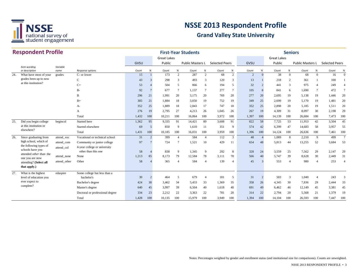

|     | <b>Respondent Profile</b>                     |                  | <b>First-Year Students</b>                          |       |                |                    |                 |                         |                |                       |                 |                | <b>Seniors</b> |                    |                 |                  |                |                       |                 |  |  |
|-----|-----------------------------------------------|------------------|-----------------------------------------------------|-------|----------------|--------------------|-----------------|-------------------------|----------------|-----------------------|-----------------|----------------|----------------|--------------------|-----------------|------------------|----------------|-----------------------|-----------------|--|--|
|     |                                               |                  |                                                     |       |                | <b>Great Lakes</b> |                 |                         |                |                       |                 |                |                | <b>Great Lakes</b> |                 |                  |                |                       |                 |  |  |
|     |                                               |                  |                                                     | GVSU  |                | Public             |                 | <b>Public Masters L</b> |                | <b>Selected Peers</b> |                 | GVSU           |                | Public             |                 | Public Masters L |                | <b>Selected Peers</b> |                 |  |  |
|     | Item wording<br>or description                | Variable<br>name | Response options                                    | Count | %              | Count              | %               | Count                   | %              | Count                 | $\%$            | Count          | $\%$           | Count              | $% \mathcal{N}$ | Count            | %              | Count                 | %               |  |  |
| 24. | What have most of your                        | grades           | C- or lower                                         | 15    |                | 173                | 2               | 287                     | 2              | 68                    | 2               | $\overline{2}$ | $\Omega$       | 38                 | $\Omega$        | 68               | $\Omega$       | 16                    | $\Omega$        |  |  |
|     | grades been up to now                         |                  | C                                                   | 43    | $\mathcal{R}$  | 298                | 3               | 493                     | 3              | 120                   | 3               | 13             |                | 218                | 2               | 361              |                | 100                   |                 |  |  |
|     | at this institution?                          |                  | $C+$                                                | 53    |                | 504                | 5               | 866                     | 6              | 194                   | 5               | 32             | $\overline{2}$ | 441                | 3               | 975              | $\overline{4}$ | 249                   |                 |  |  |
|     |                                               |                  | $B-$                                                | 92    |                | 677                | $7\phantom{.0}$ | 1,137                   | $\overline{7}$ | 277                   | $7\phantom{.0}$ | 105            | 8              | 841                | 6               | 1,690            | $\tau$         | 472                   |                 |  |  |
|     |                                               |                  | B                                                   | 296   | 21             | 1,991              | 20              | 3,175                   | 20             | 769                   | 20              | 277            | 20             | 2,695              | 19              | 5,138            | 19             | 1,446                 | 20              |  |  |
|     |                                               |                  | $B+$                                                | 305   | 21             | 1,884              | 18              | 3,050                   | 19             | 752                   | 19              | 349            | 25             | 2,699              | 19              | 5,170            | 19             | 1,481                 | 20              |  |  |
|     |                                               |                  | A-                                                  | 352   | 25             | 1,889              | 18              | 2,843                   | 17             | 747                   | 18              | 352            | 25             | 2,898              | 20              | 5,185            | 19             | 1,511                 | 20              |  |  |
|     |                                               |                  | A                                                   | 276   | 19             | 2,795              | 27              | 4,213                   | 26             | 1,045                 | 26              | 267            | 19             | 4,309              | 31              | 8,097            | 30             | 2,198                 | 29              |  |  |
|     |                                               |                  | Total                                               | 1,432 | 100            | 10,211             | 100             | 16,064                  | 100            | 3,972                 | 100             | 1,397          | 100            | 14,139             | 100             | 26,684           | 100            | 7,473                 | 100             |  |  |
| 25. | Did you begin college                         | begincol         | Started here                                        | 1,362 | 95             | 9,335              | 91              | 14,421                  | 89             | 3,608                 | 91              | 822            | 58             | 7,725              | 53              | 11,953           | 42             | 3,504                 | 45              |  |  |
|     | at this institution or                        |                  | Started elsewhere                                   | 69    | -5             | 850                | 9               | 1,610                   | 11             | 351                   | 9               | 574            | 42             | 6,399              | 47              | 14,683           | 58             | 3,957                 | 55              |  |  |
|     | elsewhere?                                    |                  | Total                                               | 1,431 | 100            | 10,185             | 100             | 16,031                  | 100            | 3,959                 | 100             | 1,396          | 100            | 14.124             | 100             | 26,636           | 100            | 7,461                 | 100             |  |  |
| 26. | Since graduating from                         | attend voc       | Vocational or technical school                      | 31    | 2              | 399                | $\overline{4}$  | 584                     | $\overline{4}$ | 112                   | $\overline{3}$  | 48             | $\overline{4}$ | 1,089              | 8               | 2,210            | 9              | 499                   | $7\phantom{.0}$ |  |  |
|     | high school, which of                         | attend com       | Community or junior college                         | 97    |                | 724                | $\overline{7}$  | 1,521                   | 10             | 429                   | 11              | 654            | 48             | 5,813              | 44              | 13,255           | 52             | 3,684                 | 53              |  |  |
|     | the following types of<br>schools have you    | attend_col       | 4-year college or university<br>other than this one | 58    |                | 838                | 9               | 1,345                   | 9              | 292                   | 8               | 328            | 24             | 3.559              | 25              | 7,562            | 29             | 2,147                 | 29              |  |  |
|     | attended other than the                       | attend none      | None                                                | 1,213 | 85             | 8,173              | 79              | 12,584                  | 78             | 3,111                 | 78              | 566            | 40             | 5,747              | 39              | 8,628            | 30             | 2,449                 | 31              |  |  |
|     | one you are now                               | attend_other     | Other                                               | 58    |                | 365                | $\overline{4}$  | 584                     | $\overline{4}$ | 139                   | $\overline{4}$  | 45             | $\mathcal{R}$  | 553                | $\overline{4}$  | 980              | $\overline{a}$ | 253                   |                 |  |  |
|     | attending? (Select all<br>that apply.)        |                  |                                                     |       |                |                    |                 |                         |                |                       |                 |                |                |                    |                 |                  |                |                       |                 |  |  |
| 27. | What is the highest<br>level of education you | edaspire         | Some college but less than a<br>bachelor's          | 30    | $\overline{2}$ | 464                | 5               | 679                     | $\overline{4}$ | 181                   | 5               | 31             | $\overline{2}$ | 503                | 3               | 1,040            | $\overline{4}$ | 243                   |                 |  |  |
|     | ever expect to                                |                  | Bachelor's degree                                   | 424   | 30             | 3,462              | 34              | 5,433                   | 33             | 1,369                 | 35              | 358            | 26             | 4,345              | 30              | 7,836            | 29             | 2,444                 | 33              |  |  |
|     | complete?                                     |                  | Master's degree                                     | 640   | 45             | 3,997              | 39              | 6,504                   | 40             | 1,618                 | 40              | 691            | 49             | 6,462              | 46              | 12,149           | 45             | 3,381                 | 45              |  |  |
|     |                                               |                  | Doctoral or professional degree                     | 334   | 23             | 2,212              | 22              | 3,363                   | 22             | 781                   | 20              | 314            | 22             | 2,794              | 20              | 5,568            | 21             | 1,379                 | 19              |  |  |
|     |                                               |                  | Total                                               | 1,428 | 100            | 10,135             | 100             | 15,979                  | 100            | 3,949                 | 100             | 1,394          | 100            | 14.104             | 100             | 26,593           | 100            | 7.447                 | 100             |  |  |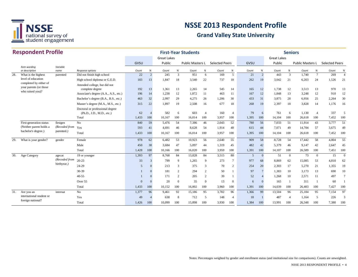

|     | <b>Respondent Profile</b>                        |                  |                                                              |       |                |                    |                | <b>First-Year Students</b> |                |                       |                 |                |                |                    | <b>Seniors</b> |                  |                 |                       |                |
|-----|--------------------------------------------------|------------------|--------------------------------------------------------------|-------|----------------|--------------------|----------------|----------------------------|----------------|-----------------------|-----------------|----------------|----------------|--------------------|----------------|------------------|-----------------|-----------------------|----------------|
|     |                                                  |                  |                                                              |       |                | <b>Great Lakes</b> |                |                            |                |                       |                 |                |                | <b>Great Lakes</b> |                |                  |                 |                       |                |
|     |                                                  |                  |                                                              | GVSU  |                | Public             |                | Public Masters L           |                | <b>Selected Peers</b> |                 | GVSU           |                | Public             |                | Public Masters L |                 | <b>Selected Peers</b> |                |
|     | Item wording<br>or description                   | Variable<br>name | Response options                                             | Count | %              | Count              | $\%$           | Count                      | $\%$           | Count                 | $\%$            | Count          | $\%$           | Count              | $\%$           | Count            | $\%$            | Count                 | %              |
| 28. | What is the highest                              | parented         | Did not finish high school                                   | 22    | $\overline{2}$ | 245                | 3              | 951                        | 6              | 169                   | 5               | 21             | $\overline{c}$ | 443                | 3              | 1,740            | $7\phantom{.0}$ | 269                   | $\overline{4}$ |
|     | level of education                               |                  | High school diploma or G.E.D.                                | 183   | 13             | 1,847              | 18             | 3,540                      | 22             | 737                   | 18              | 262            | 19             | 3,042              | 21             | 6,203            | 24              | 1,526                 | 21             |
|     | completed by either of<br>your parents (or those |                  | Attended college, but did not<br>complete degree             | 192   | 13             | 1,361              | 13             | 2,265                      | 14             | 545                   | 14              | 165            | 12             | 1,738              | 12             | 3,513            | 13              | 970                   | 13             |
|     | who raised you)?                                 |                  | Associate's degree (A.A., A.S., etc.)                        | 196   | 14             | 1,238              | 12             | 1,872                      | 11             | 463                   | 11              | 167            | 12             | 1.848              | 13             | 3,248            | 12              | 910                   | 12             |
|     |                                                  |                  | Bachelor's degree (B.A., B.S., etc.)                         | 463   | 32             | 2,997              | 29             | 4,275                      | 26             | 1,206                 | 30              | 433            | 31             | 3,875              | 28             | 6,956            | 25              | 2,264                 | 30             |
|     |                                                  |                  | Master's degree (M.A., M.S., etc.)                           | 315   | 22             | 1,897              | 19             | 2,508                      | 16             | 677                   | 18              | 268            | 19             | 2,397              | 18             | 3,828            | 14              | 1,176                 | 16             |
|     |                                                  |                  | Doctoral or professional degree<br>(Ph.D., J.D., M.D., etc.) | 62    | $\overline{4}$ | 582                | -6             | 603                        | $\overline{4}$ | 160                   | $\overline{4}$  | 79             | 6              | 761                | 6              | 1,130            | $\overline{4}$  | 337                   | 5              |
|     |                                                  |                  | Total                                                        | 1,433 | 100            | 10,167             | 100            | 16,014                     | 100            | 3,957                 | 100             | 1,395          | 100            | 14,104             | 100            | 26,618           | 100             | 7,452                 | 100            |
|     | First-generation status                          | firstgen         | No                                                           | 840   | 59             | 5,476              | 54             | 7,386                      | 46             | 2,043                 | 52              | 780            | 56             | 7,033              | 51             | 11,914           | 43              | 3,777                 | 51             |
|     | (Neither parent holds a                          | (Recoded from    | Yes                                                          | 593   | 41             | 4,691              | 46             | 8,628                      | 54             | 1,914                 | 48              | 615            | 44             | 7,071              | 49             | 14,704           | 57              | 3,675                 | 49             |
|     | bachelor's degree.)                              | parented.)       | Total                                                        | 1,433 | 100            | 10,167             | 100            | 16,014                     | 100            | 3,957                 | 100             | 1,395          | 100            | 14,104             | 100            | 26,618           | 100             | 7,452                 | 100            |
| 29. | What is your gender?                             | gender           | Female                                                       | 978   | 62             | 6,482              | 53             | 10,923                     | 56             | 2,640                 | 55              | 909            | 58             | 8,728              | 54             | 17.442           | 58              | 4,804                 | 55             |
|     |                                                  |                  | Male                                                         | 450   | 38             | 3,684              | 47             | 5,097                      | 44             | 1,319                 | 45              | 482            | 42             | 5,379              | 46             | 9,147            | 42              | 2,647                 | 45             |
|     |                                                  |                  | Total                                                        | 1,428 | 100            | 10,166             | 100            | 16,020                     | 100            | 3,959                 | 100             | 1,391          | 100            | 14,107             | 100            | 26,589           | 100             | 7,451                 | 100            |
| 30. | Age Category                                     | agecat           | 19 or younger                                                | 1,393 | 97             | 8,768              | 84             | 13,828                     | 84             | 3,515                 | 88              | $\overline{5}$ | $\mathbf{0}$   | 51                 | $\overline{0}$ | 73               | $\overline{0}$  | 15                    | $\theta$       |
|     |                                                  | (Recoded from    | $20 - 23$                                                    | 33    | 3              | 799                | 9              | 1,265                      | 9              | 273                   | $7\phantom{.0}$ | 977            | 68             | 8.869              | 62             | 15,085           | 53              | 4,810                 | 62             |
|     |                                                  | birthyear.)      | 24-29                                                        | 5     | $\Omega$       | 213                | 3              | 375                        | 3              | 70                    | 2               | 254            | 20             | 2,303              | 17             | 5,270            | 21              | 1,355                 | 19             |
|     |                                                  |                  | $30-39$                                                      |       |                | 181                | $\overline{2}$ | 294                        | $\overline{2}$ | 50                    | $\overline{1}$  | 97             | $\overline{7}$ | 1,383              | 10             | 3,173            | 13              | 690                   | 10             |
|     |                                                  |                  | $40 - 55$                                                    |       |                | 171                | $\overline{2}$ | 205                        | $\overline{2}$ | 39                    |                 | 52             | $\overline{4}$ | 1.268              | 10             | 2,571            | 11              | 497                   |                |
|     |                                                  |                  | Over 55                                                      |       |                | 20                 | $\Omega$       | 35                         | $\Omega$       | 13                    | $\overline{0}$  | 6              | $\Omega$       | 165                |                | 311              | -1              | 60                    |                |
|     |                                                  |                  | Total                                                        | 1,433 | 100            | 10,152             | 100            | 16,002                     | 100            | 3,960                 | 100             | 1,391          | 100            | 14,039             | 100            | 26,483           | 100             | 7,427                 | 100            |
| 31. | Are you an                                       | internat         | No                                                           | 1,377 | 96             | 9,461              | 92             | 15,186                     | 95             | 3,782                 | 96              | 1,366          | 99             | 13,504             | 96             | 25,184           | 95              | 7,154                 | 97             |
|     | international student or                         |                  | Yes                                                          | 49    | $\overline{A}$ | 638                | 8              | 712                        | 5              | 148                   | $\overline{4}$  | 18             |                | 487                | $\overline{4}$ | 1,164            | 5               | 226                   | 3              |
|     | foreign national?                                |                  | Total                                                        | 1.426 | 100            | 10,099             | 100            | 15,898                     | 100            | 3,930                 | 100             | 1,384          | 100            | 13,991             | 100            | 26,348           | 100             | 7.380                 | 100            |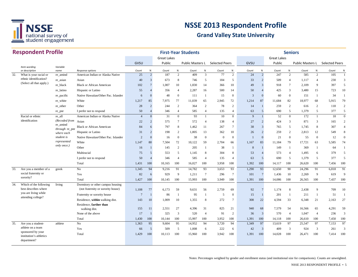

|     | <b>Respondent Profile</b>                  |                            |                                     | <b>First-Year Students</b><br><b>Great Lakes</b> |                |        |                  |                  |                 |                       |                 |       | <b>Seniors</b>           |             |                |                                 |                  |       |                |  |  |
|-----|--------------------------------------------|----------------------------|-------------------------------------|--------------------------------------------------|----------------|--------|------------------|------------------|-----------------|-----------------------|-----------------|-------|--------------------------|-------------|----------------|---------------------------------|------------------|-------|----------------|--|--|
|     |                                            |                            |                                     |                                                  |                |        |                  |                  |                 |                       |                 |       |                          | Great Lakes |                |                                 |                  |       |                |  |  |
|     |                                            |                            |                                     | GVSU                                             |                | Public |                  | Public Masters L |                 | <b>Selected Peers</b> |                 | GVSU  |                          | Public      |                | Public Masters L Selected Peers |                  |       |                |  |  |
|     | Item wording<br>or description             | Variable<br>name           | Response options                    | Count                                            | $\%$           | Count  | $\%$             | Count            | %               | Count                 | $\%$            | Count | %                        | Count       | $\%$           | Count                           | $\%$             | Count | $\%$           |  |  |
| 32. | What is your racial or                     | re amind                   | American Indian or Alaska Native    | 25                                               | $\overline{2}$ | 187    | $\overline{2}$   | 409              | 3               | 77                    | 2               | 24    | $\overline{c}$           | 247         | 2              | 585                             | $\overline{2}$   | 105   | -1             |  |  |
|     | ethnic identification?                     | re_asian                   | Asian                               | 40                                               | $\overline{3}$ | 673    | 8                | 746              | 5               | 184                   | 5               | 33    | $\overline{c}$           | 509         | $\overline{4}$ | 1,117                           | $\overline{4}$   | 230   | 3              |  |  |
|     | (Select all that apply.)                   | re_black                   | <b>Black or African American</b>    | 102                                              |                | 1,007  | 10               | 1,830            | 14              | 366                   | 10              | 49    | $\overline{3}$           | 918         | $\tau$         | 2,109                           | 9                | 397   | 5              |  |  |
|     |                                            | re_latino                  | Hispanic or Latino                  | 55                                               |                | 356    | $\overline{4}$   | 2,287            | 16              | 500                   | 14              | 50    | $\overline{4}$           | 425         | 3              | 3,480                           | 15               | 723   | 10             |  |  |
|     |                                            | re_pacific                 | Native Hawaiian/Other Pac. Islander | 6                                                | $\Omega$       | 48     | $\overline{0}$   | 111              | -1              | 15                    | $\overline{0}$  | 3     | $\Omega$                 | 60          | $\overline{0}$ | 151                             | $\mathbf{1}$     | 34    |                |  |  |
|     |                                            | re_white                   | White                               | 1,217                                            | 85             | 7,975  | 77               | 11,039           | 65              | 2,945                 | 72              | 1,214 | 87                       | 11,684      | 82             | 18,977                          | 68               | 5,915 | 79             |  |  |
|     |                                            | re_other                   | Other                               | 28                                               | $\overline{c}$ | 244    | 2                | 364              | 2               | 78                    | 2               | 14    | $\mathbf{1}$             | 259         | 2              | 616                             | 2                | 118   | $\overline{c}$ |  |  |
|     |                                            | re_pnr                     | I prefer not to respond             | 50                                               | $\overline{4}$ | 346    | $\overline{4}$   | 585              | $\overline{4}$  | 135                   | $\overline{4}$  | 63    | 5                        | 690         | 5              | 1,379                           | 5                | 377   | 5              |  |  |
|     | Racial or ethnic                           | re_all                     | American Indian or Alaska Native    | $\overline{4}$                                   | $\Omega$       | 31     | $\boldsymbol{0}$ | 93               | -1              | 10                    | $\overline{0}$  | 9     |                          | 52          | $\mathbf{0}$   | 172                             | 1                | 18    | $\overline{0}$ |  |  |
|     | identification                             | (Recoded from              | Asian                               | 22                                               | $\overline{2}$ | 575    | $7\phantom{.0}$  | 572              | $\overline{4}$  | 138                   | $\overline{4}$  | 27    | $\overline{2}$           | 424         | 3              | 871                             | 3                | 165   | $\overline{2}$ |  |  |
|     |                                            | re_amind<br>through re_pnn | <b>Black or African American</b>    | 84                                               | 6              | 797    | 8                | 1,462            | 11              | 267                   | $7\phantom{.0}$ | 38    | $\overline{3}$           | 765         | 5              | 1,745                           | 8                | 307   |                |  |  |
|     |                                            | where each                 | Hispanic or Latino                  | 31                                               | $\overline{2}$ | 198    | 2                | 1,805            | 13              | 362                   | 10              | 26    | $\overline{2}$           | 259         | 2              | 2,813                           | 12               | 549   | 8              |  |  |
|     |                                            | student is                 | Native Hawaiian/Other Pac. Islander | $\overline{2}$                                   | $\Omega$       | 16     | $\mathbf{0}$     | 38               | $\mathbf{0}$    | $\mathbf{0}$          | $\mathbf{0}$    |       | $\overline{0}$           | 21          | $\mathbf{0}$   | 55                              | $\boldsymbol{0}$ | 12    | $\Omega$       |  |  |
|     |                                            | represented                | White                               | 1,147                                            | 80             | 7,504  | 72               | 10,122           | 59              | 2,704                 | 66              | 1,167 | 83                       | 11,184      | 79             | 17,721                          | 63               | 5,585 | 74             |  |  |
|     |                                            | only once.)                | Other                               | 16                                               |                | 145    | 2                | 205              | -1              | 38                    | -1              | 8     |                          | 149         | $\mathbf{1}$   | 369                             | -1               | 64    |                |  |  |
|     |                                            |                            | Multiracial                         | 75                                               | $\overline{5}$ | 553    | 5                | 1,145            | 8               | 304                   | 8               | 53    | $\overline{\mathcal{A}}$ | 573         | $\overline{4}$ | 1,495                           | 6                | 379   | $\sim$         |  |  |
|     |                                            |                            | I prefer not to respond             | 50                                               |                | 346    | $\overline{4}$   | 585              | $\overline{4}$  | 135                   | $\overline{4}$  | 63    | 5                        | 690         | 5              | 1,379                           | 5                | 377   | .5             |  |  |
|     |                                            |                            | Total                               | 1,431                                            | 100            | 10,165 | 100              | 16,027           | 100             | 3,958                 | 100             | 1,392 | 100                      | 14,117      | 100            | 26,620                          | 100              | 7,456 | 100            |  |  |
| 33. | Are you a member of a                      | greek                      | No                                  | 1,345                                            | 94             | 9,216  | 91               | 14,782           | 93              | 3,653                 | 93              | 1,290 | 93                       | 12,650      | 90             | 24,296                          | 91               | 6,818 | 91             |  |  |
|     | social fraternity or                       |                            | Yes                                 | 82                                               | 6              | 929    | 9                | 1,211            | $7\phantom{.0}$ | 296                   | $7\phantom{.0}$ | 101   | $7\phantom{.0}$          | 1,436       | 10             | 2,269                           | 9                | 619   | 9              |  |  |
|     | sorority?                                  |                            | Total                               | 1,427                                            | 100            | 10,145 | 100              | 15,993           | 100             | 3,949                 | 100             | 1,391 | 100                      | 14,086      | 100            | 26,565                          | 100              | 7,437 | 100            |  |  |
| 34. | Which of the following                     | living                     | Dormitory or other campus housing   |                                                  |                |        |                  |                  |                 |                       |                 |       |                          |             |                |                                 |                  |       |                |  |  |
|     | best describes where                       |                            | (not fraternity or sorority house)  | 1,108                                            | 77             | 6,173  | 59               | 9,631            | 56              | 2,759                 | 69              | 92    | $7\phantom{.0}$          | 1,174       | 8              | 2,438                           | 9                | 709   | 10             |  |  |
|     | you are living while<br>attending college? |                            | Fraternity or sorority house        | $\overline{7}$                                   |                | 86     | -1               | 95               | $\mathbf{1}$    | 5                     | $\overline{0}$  | 15    | $\mathbf{1}$             | 201         | -1             | 211                             | -1               | 51    | -1             |  |  |
|     |                                            |                            | Residence, within walking dist.     | 143                                              | 10             | 1,009  | 10               | 1,355            | 8               | 272                   | $7\phantom{.0}$ | 308   | 22                       | 4,594       | 33             | 6,348                           | 21               | 2,163 | 27             |  |  |
|     |                                            |                            | Residence, farther than             |                                                  |                |        |                  |                  |                 |                       |                 |       |                          |             |                |                                 |                  |       |                |  |  |
|     |                                            |                            | walking dist.                       | 155                                              | 11             | 2,551  | 27               | 4,396            | 31              | 825                   | 21              | 940   | 68                       | 7,579       | 54             | 16,566                          | 65               | 4,291 | 59             |  |  |
|     |                                            |                            | None of the above                   | 17                                               |                | 325    | 3                | 520              | $\overline{4}$  | 91                    | $\overline{2}$  | 36    | $\mathbf{3}$             | 570         | $\overline{4}$ | 1,047                           | $\overline{4}$   | 236   | 3              |  |  |
|     |                                            |                            | Total                               | 1,430                                            | 100            | 10,144 | 100              | 15,997           | 100             | 3,952                 | 100             | 1,391 | 100                      | 14,118      | 100            | 26,610                          | 100              | 7,450 | 100            |  |  |
| 35. | Are you a student-<br>athlete on a team    | athlete                    | No                                  | 1,363                                            | 95             | 9,604  | 95               | 14,952           | 94              | 3,720                 | 94              | 1,349 | 97                       | 13,619      | 97             | 25,547                          | 97               | 7,153 | 97             |  |  |
|     | sponsored by your                          |                            | Yes                                 | 66                                               | 5              | 509    | 5                | 1,008            | 6               | 222                   | 6               | 42    | $\mathbf{3}$             | 409         | $\overline{3}$ | 924                             | 3                | 261   | 3              |  |  |
|     | institution's athletics<br>department?     |                            | Total                               | 1,429                                            | 100            | 10,113 | 100              | 15,960           | 100             | 3,942                 | 100             | 1.391 | 100                      | 14.028      | 100            | 26,471                          | 100              | 7.414 | 100            |  |  |

Notes: Percentages weighted by gender and enrollment status (and institutional size for comparisons). Counts are unweighted.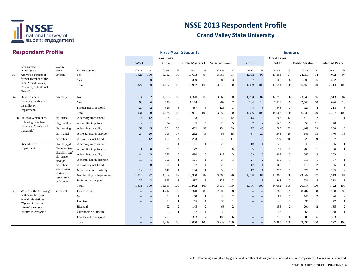

|      | <b>Respondent Profile</b>                             |                            |                             |                   |                |                              |                | <b>First-Year Students</b> |                |                       |                  |                   |                          |                              | <b>Seniors</b> |                         |                |                       |                |
|------|-------------------------------------------------------|----------------------------|-----------------------------|-------------------|----------------|------------------------------|----------------|----------------------------|----------------|-----------------------|------------------|-------------------|--------------------------|------------------------------|----------------|-------------------------|----------------|-----------------------|----------------|
|      |                                                       |                            |                             | GVSU              |                | <b>Great Lakes</b><br>Public |                | <b>Public Masters L</b>    |                | <b>Selected Peers</b> |                  | GVSU              |                          | <b>Great Lakes</b><br>Public |                | <b>Public Masters L</b> |                | <b>Selected Peers</b> |                |
|      | Item wording<br>or description                        | Variable                   | Response options            | Count             | $\%$           | Count                        | $\%$           | Count                      | $\%$           | Count                 | %                | Count             | %                        | Count                        | $\%$           | Count                   | $\%$           | Count                 | %              |
| 36.  | Are you a current or                                  | name<br>veteran            | No                          | 1,421             | 100            | 9,932                        | 98             | 15,613                     | 97             | 3,866                 | 97               | 1,362             | 98                       | 13,351                       | 94             | 24,955                  | 94             | 7,052                 | 94             |
|      | former member of the                                  |                            | Yes                         | 6                 | $\Omega$       | 175                          | 2              | 339                        | 3              | 82                    | $\overline{3}$   | 27                | $\overline{2}$           | 703                          | 6              | 1,508                   | 6              | 362                   | 6              |
|      | U.S. Armed Forces,<br>Reserves, or National<br>Guard? |                            | Total                       | 1,427             | 100            | 10,107                       | 100            | 15,952                     | 100            | 3,948                 | 100              | 1,389             | 100                      | 14,054                       | 100            | 26,463                  | 100            | 7,414                 | 100            |
| 37a. | Have you been                                         | disability                 | No                          | 1,314             | 92             | 9,069                        | 89             | 14,320                     | 89             | 3,563                 | 90               | 1,208             | 87                       | 12,396                       | 88             | 23,049                  | 86             | 6,513                 | 87             |
|      | diagnosed with any                                    |                            | Yes                         | 90                | 6              | 740                          | 8              | 1,184                      | 8              | 269                   | $7\phantom{.0}$  | 134               | 10                       | 1,223                        | 9              | 2,560                   | 10             | 696                   | 10             |
|      | disability or                                         |                            | I prefer not to respond     | 27                | 2              | 329                          | 3              | 487                        | 3              | 126                   | 3                | 44                | $\overline{3}$           | 448                          | 3              | 921                     | $\overline{4}$ | 218                   | $\mathcal{E}$  |
|      | impairment?                                           |                            | Total                       | 1,431             | 100            | 10,138                       | 100            | 15,991                     | 100            | 3,958                 | 100              | 1,386             | 100                      | 14,067                       | 100            | 26,530                  | 100            | 7,427                 | 100            |
|      | b. [If, yes] Which of the                             | dis_sense                  | A sensory impairment        | 14                | 12             | 124                          | 12             | 193                        | 12             | 46                    | 12               | 13                | 8                        | 203                          | 12             | 410                     | 12             | 101                   | 11             |
|      | following have been                                   | dis_mobility               | A mobility impairment       | 2                 |                | 54                           | 6              | 85                         | 5              | 20                    | 5                | $\overline{7}$    | $\overline{4}$           | 143                          | 9              | 358                     | 11             | 70                    | $\mathbf{Q}$   |
|      | diagnosed? (Select all<br>that apply)                 | dis learning               | A learning disability       | 52                | 45             | 384                          | 36             | 622                        | 37             | 154                   | 39               | 77                | 43                       | 585                          | 35             | 1,169                   | 33             | 368                   | 40             |
|      |                                                       | dis_mental                 | A mental health disorder    | 24                | 20             | 193                          | 17             | 262                        | 15             | 65                    | 15               | 37                | 20                       | 345                          | 20             | 641                     | 18             | 170                   | 18             |
|      |                                                       | dis other                  | A disability not listed     | 13                | 12             | 151                          | 14             | 233                        | 15             | 42                    | 11               | 21                | 12                       | 279                          | 16             | 628                     | 19             | 137                   | 16             |
|      | Disability or                                         | disability_all             | A sensory impairment        | 10                | $\mathbf{1}$   | 78                           | $\mathbf{1}$   | 141                        | $\overline{1}$ | 28                    | -1               | 10                |                          | 127                          | $\mathbf{1}$   | 245                     | $\mathbf{1}$   | 65                    |                |
|      | impairment                                            | (Recoded from              | A mobility impairment       |                   | $\Omega$       | 30                           | $\overline{0}$ | 42                         | $\overline{0}$ | 9                     | $\boldsymbol{0}$ | 5                 | $\Omega$                 | 71                           |                | 200                     | -1             | 36                    |                |
|      |                                                       | disability and             | A learning disability       | 44                | 3              | 278                          | 3              | 490                        | 3              | 117                   | 3                | 63                | 5                        | 407                          | 3              | 840                     | 3              | 283                   |                |
|      |                                                       | dis_sense<br>through       | A mental health disorder    | 17                |                | 106                          | -1             | 161                        |                | 37                    | $\mathbf{1}$     | 27                | $\mathcal{D}$            | 175                          |                | 315                     | 1              | 87                    |                |
|      |                                                       | dis_other                  | A disability not listed     | 6                 |                | 94                           | $\mathbf{1}$   | 157                        |                | 25                    | $\mathbf{1}$     | 12                |                          | 166                          |                | 418                     | $\overline{2}$ | 95                    |                |
|      |                                                       | where each                 | More than one disability    | 12                |                | 147                          | $\mathbf{1}$   | 184                        |                | 50                    | -1               | 17                |                          | 272                          | 2              | 526                     | 2              | 125                   |                |
|      |                                                       | student is                 | No disability or impairment | 1,314             | 92             | 9,069                        | 89             | 14,320                     | 89             | 3,563                 | 90               | 1,208             | 87                       | 12,396                       | 88             | 23,049                  | 87             | 6,513                 | 87             |
|      |                                                       | represented<br>only once.) | Prefer not to respond       | 27                | $\overline{2}$ | 329                          | 3              | 487                        | 3              | 126                   | 3                | 44                | 3                        | 448                          | $\overline{3}$ | 921                     | $\overline{4}$ | 218                   | 3              |
|      |                                                       |                            | Total                       | 1,431             | 100            | 10,131                       | 100            | 15,982                     | 100            | 3,955                 | 100              | 1,386             | 100                      | 14,062                       | 100            | 26,514                  | 100            | 7,422                 | 100            |
| 38.  | Which of the following                                | sexorient                  | Heterosexual                |                   | $\overline{a}$ | 4,712                        | 90             | 5,320                      | 88             | 2,883                 | 88               | $\overline{a}$    | $\hspace{0.05cm} \ldots$ | 5,780                        | 89             | 8,787                   | 88             | 5,788                 | 88             |
|      | best describes your                                   |                            | Gay                         |                   |                | 53                           | $\mathbf{1}$   | 50                         |                | 36                    | 2                | $\overline{a}$    | $\sim$                   | 89                           | 2              | 145                     | 2              | 96                    | 2              |
|      | sexual orientation?<br>(Optional question             |                            | Lesbian                     |                   |                | 32                           | -1             | 65                         |                | 34                    | -1               | $-$               | $\overline{\phantom{a}}$ | 46                           |                | 97                      | 1              | 72                    |                |
|      | administered per                                      |                            | Bisexual                    |                   |                | 92                           | 2              | 145                        | 2              | 68                    | $\overline{2}$   | $-$               | $\overline{\phantom{a}}$ | 155                          | 2              | 201                     | 2              | 135                   | $\overline{2}$ |
|      | <i>institution request.)</i>                          |                            | Questioning or unsure       |                   |                | 55                           | $\mathbf{1}$   | 57                         | $\mathbf{1}$   | 32                    | 1                |                   | $\overline{a}$           | 43                           | -1             | 68                      | $\mathbf{1}$   | 38                    |                |
|      |                                                       |                            | I prefer not to respond     |                   |                | 275                          | 5              | 363                        | $\overline{7}$ | 186                   | 6                |                   | $\overline{a}$           | 375                          | 6              | 600                     | 6              | 393                   | 6              |
|      |                                                       |                            | Total                       | $\qquad \qquad -$ | $-$            | 5,219                        | 100            | 6,000                      | 100            | 3,239                 | 100              | $\qquad \qquad -$ | $\hspace{0.05cm} -$      | 6,488                        | 100            | 9,898                   | 100            | 6,522                 | 100            |